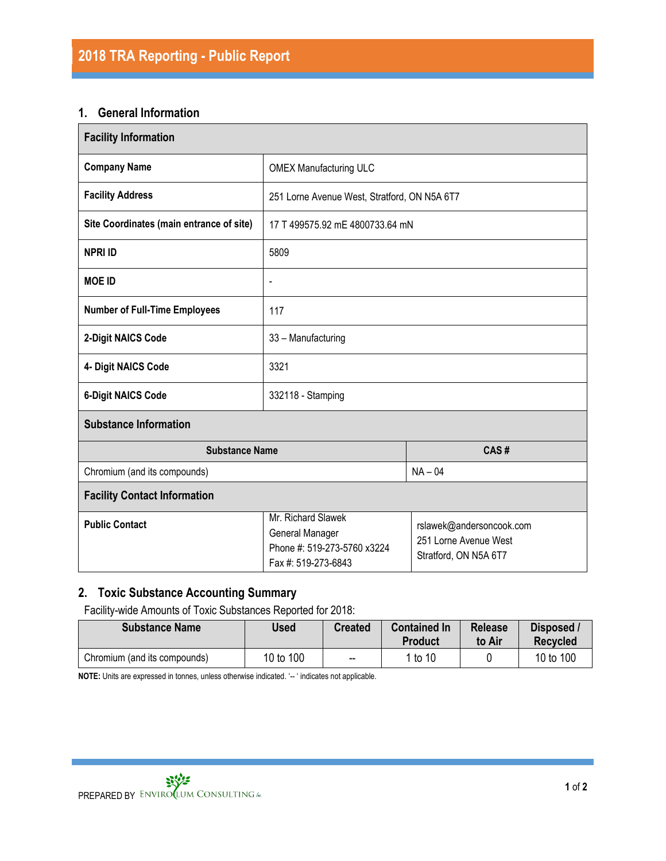### **1. General Information**

| <b>Facility Information</b>              |                                                                                             |                                                                            |  |  |  |
|------------------------------------------|---------------------------------------------------------------------------------------------|----------------------------------------------------------------------------|--|--|--|
| <b>Company Name</b>                      | <b>OMEX Manufacturing ULC</b>                                                               |                                                                            |  |  |  |
| <b>Facility Address</b>                  | 251 Lorne Avenue West, Stratford, ON N5A 6T7                                                |                                                                            |  |  |  |
| Site Coordinates (main entrance of site) | 17 T 499575.92 mE 4800733.64 mN                                                             |                                                                            |  |  |  |
| <b>NPRI ID</b>                           | 5809                                                                                        |                                                                            |  |  |  |
| <b>MOE ID</b>                            | $\frac{1}{2}$                                                                               |                                                                            |  |  |  |
| <b>Number of Full-Time Employees</b>     | 117                                                                                         |                                                                            |  |  |  |
| 2-Digit NAICS Code                       | 33 - Manufacturing                                                                          |                                                                            |  |  |  |
| 4- Digit NAICS Code                      | 3321                                                                                        |                                                                            |  |  |  |
| <b>6-Digit NAICS Code</b>                | 332118 - Stamping                                                                           |                                                                            |  |  |  |
| <b>Substance Information</b>             |                                                                                             |                                                                            |  |  |  |
| <b>Substance Name</b>                    | CAS#                                                                                        |                                                                            |  |  |  |
| Chromium (and its compounds)             |                                                                                             | $NA - 04$                                                                  |  |  |  |
| <b>Facility Contact Information</b>      |                                                                                             |                                                                            |  |  |  |
| <b>Public Contact</b>                    | Mr. Richard Slawek<br>General Manager<br>Phone #: 519-273-5760 x3224<br>Fax #: 519-273-6843 | rslawek@andersoncook.com<br>251 Lorne Avenue West<br>Stratford, ON N5A 6T7 |  |  |  |

#### **2. Toxic Substance Accounting Summary**

Facility-wide Amounts of Toxic Substances Reported for 2018:

| <b>Substance Name</b>        | Used      | <b>Created</b> | <b>Contained In</b><br><b>Product</b> | <b>Release</b><br>to Air | Disposed /<br><b>Recvcled</b> |
|------------------------------|-----------|----------------|---------------------------------------|--------------------------|-------------------------------|
| Chromium (and its compounds) | 10 to 100 | $- -$          | 1 to 10                               |                          | 10 to 100                     |

**NOTE:** Units are expressed in tonnes, unless otherwise indicated. '-- ' indicates not applicable.